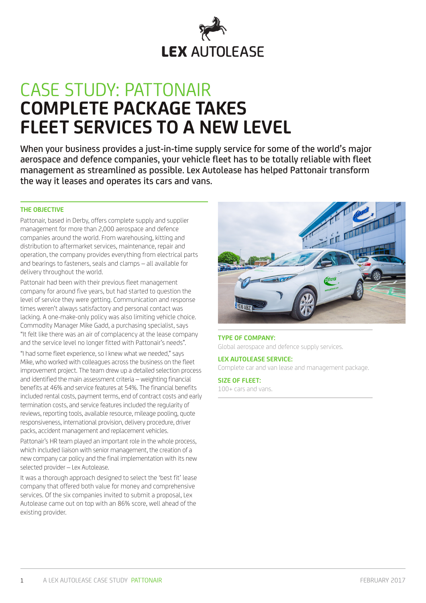

# CASE STUDY: PATTONAIR **COMPLETE PACKAGE TAKES FLEET SERVICES TO A NEW LEVEL**

When your business provides a just-in-time supply service for some of the world's major aerospace and defence companies, your vehicle fleet has to be totally reliable with fleet management as streamlined as possible. Lex Autolease has helped Pattonair transform the way it leases and operates its cars and vans.

### **THE OBJECTIVE**

Pattonair, based in Derby, offers complete supply and supplier management for more than 2,000 aerospace and defence companies around the world. From warehousing, kitting and distribution to aftermarket services, maintenance, repair and operation, the company provides everything from electrical parts and bearings to fasteners, seals and clamps – all available for delivery throughout the world.

Pattonair had been with their previous fleet management company for around five years, but had started to question the level of service they were getting. Communication and response times weren't always satisfactory and personal contact was lacking. A one-make-only policy was also limiting vehicle choice. Commodity Manager Mike Gadd, a purchasing specialist, says "It felt like there was an air of complacency at the lease company and the service level no longer fitted with Pattonair's needs".

"I had some fleet experience, so I knew what we needed," says Mike, who worked with colleagues across the business on the fleet improvement project. The team drew up a detailed selection process and identified the main assessment criteria – weighting financial benefits at 46% and service features at 54%. The financial benefits included rental costs, payment terms, end of contract costs and early termination costs, and service features included the regularity of reviews, reporting tools, available resource, mileage pooling, quote responsiveness, international provision, delivery procedure, driver packs, accident management and replacement vehicles.

Pattonair's HR team played an important role in the whole process, which included liaison with senior management, the creation of a new company car policy and the final implementation with its new selected provider – Lex Autolease.

It was a thorough approach designed to select the 'best fit' lease company that offered both value for money and comprehensive services. Of the six companies invited to submit a proposal, Lex Autolease came out on top with an 86% score, well ahead of the existing provider.



### **TYPE OF COMPANY:** Global aerospace and defence supply services.

### **LEX AUTOLEASE SERVICE:**

Complete car and van lease and management package.

# **SIZE OF FLEET:**

100+ cars and vans.